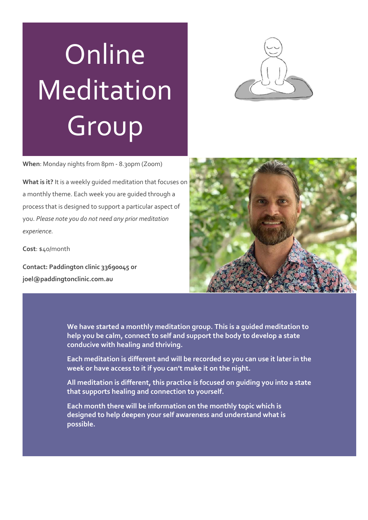# Online Meditation Group



**When**: Monday nights from 8pm - 8.30pm (Zoom)

**What is it?** It is a weekly guided meditation that focuses on a monthly theme. Each week you are guided through a process that is designed to support a particular aspect of you. *Please note you do not need any prior meditation experience.*

**Cost**: \$40/month

**Contact: Paddington clinic 33690045 or joel@paddingtonclinic.com.au**



**We have started a monthly meditation group. This is a guided meditation to help you be calm, connect to self and support the body to develop a state conducive with healing and thriving.** 

**Each meditation is different and will be recorded so you can use it later in the week or have access to it if you can't make it on the night.** 

**All meditation is different, this practice is focused on guiding you into a state that supports healing and connection to yourself.** 

**Each month there will be information on the monthly topic which is designed to help deepen your self awareness and understand what is possible.**